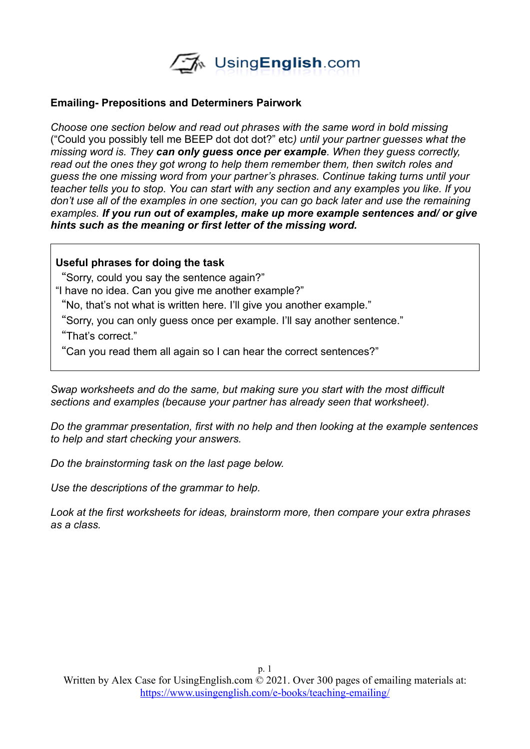

#### **Emailing- Prepositions and Determiners Pairwork**

*Choose one section below and read out phrases with the same word in bold missing*  ("Could you possibly tell me BEEP dot dot dot?" etc*) until your partner guesses what the missing word is. They can only guess once per example. When they guess correctly, read out the ones they got wrong to help them remember them, then switch roles and guess the one missing word from your partner's phrases. Continue taking turns until your teacher tells you to stop. You can start with any section and any examples you like. If you don't use all of the examples in one section, you can go back later and use the remaining examples. If you run out of examples, make up more example sentences and/ or give hints such as the meaning or first letter of the missing word.*

#### **Useful phrases for doing the task**

"Sorry, could you say the sentence again?" "I have no idea. Can you give me another example?"

"No, that's not what is written here. I'll give you another example."

"Sorry, you can only guess once per example. I'll say another sentence."

"That's correct."

"Can you read them all again so I can hear the correct sentences?"

*Swap worksheets and do the same, but making sure you start with the most difficult sections and examples (because your partner has already seen that worksheet).* 

*Do the grammar presentation, first with no help and then looking at the example sentences to help and start checking your answers.* 

*Do the brainstorming task on the last page below.*

*Use the descriptions of the grammar to help.* 

*Look at the first worksheets for ideas, brainstorm more, then compare your extra phrases as a class.*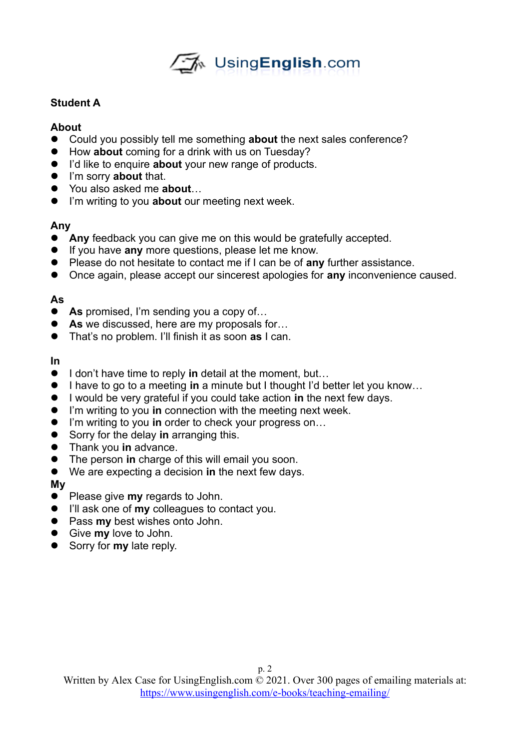

## **Student A**

## **About**

- Could you possibly tell me something **about** the next sales conference?
- How **about** coming for a drink with us on Tuesday?
- I'd like to enquire **about** your new range of products.
- I'm sorry **about** that.
- You also asked me **about**…
- I'm writing to you **about** our meeting next week.

## **Any**

- **Any** feedback you can give me on this would be gratefully accepted.
- If you have **any** more questions, please let me know.
- Please do not hesitate to contact me if I can be of **any** further assistance.
- Once again, please accept our sincerest apologies for **any** inconvenience caused.

## **As**

- **As** promised, I'm sending you a copy of...
- **As** we discussed, here are my proposals for...
- That's no problem. I'll finish it as soon **as** I can.

## **In**

- I don't have time to reply in detail at the moment, but...
- I have to go to a meeting in a minute but I thought I'd better let you know...
- I would be very grateful if you could take action **in** the next few days.
- I'm writing to you **in** connection with the meeting next week.
- I'm writing to you **in** order to check your progress on...
- Sorry for the delay **in** arranging this.
- Thank you **in** advance.
- The person **in** charge of this will email you soon.
- We are expecting a decision **in** the next few days.

## **My**

- **•** Please give **my** regards to John.
- I'll ask one of **my** colleagues to contact you.
- **•** Pass **my** best wishes onto John.
- Give **my** love to John.
- **Sorry for my late reply.**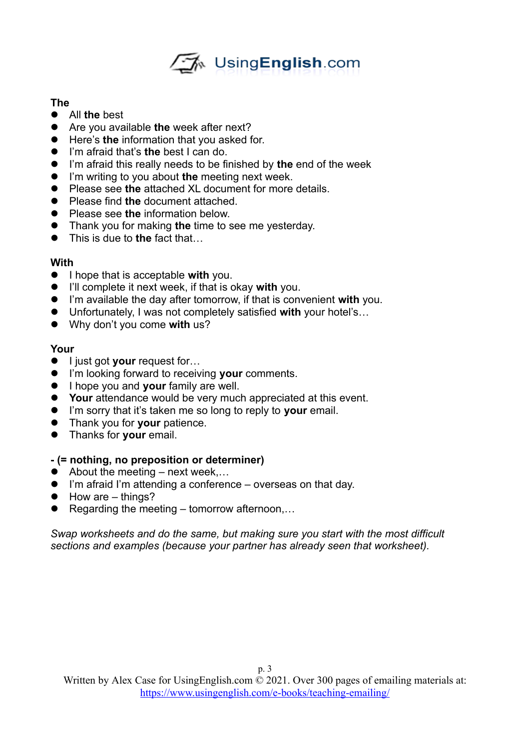

## **The**

- All **the** best
- Are you available **the** week after next?
- Here's **the** information that you asked for.
- I'm afraid that's **the** best I can do.
- I'm afraid this really needs to be finished by **the** end of the week
- I'm writing to you about **the** meeting next week.
- Please see **the** attached XL document for more details.
- Please find **the** document attached.
- **•** Please see the information below.
- Thank you for making **the** time to see me yesterday.
- This is due to the fact that...

## **With**

- **I** hope that is acceptable with you.
- I'll complete it next week, if that is okay **with** you.
- I'm available the day after tomorrow, if that is convenient **with** you.
- Unfortunately, I was not completely satisfied **with** your hotel's…
- Why don't you come **with** us?

# **Your**

- **I** liust got **your** request for...
- I'm looking forward to receiving **your** comments.
- **I** hope you and **your** family are well.
- **Your** attendance would be very much appreciated at this event.
- I'm sorry that it's taken me so long to reply to **your** email.
- Thank you for **your** patience.
- Thanks for **your** email.

# **- (= nothing, no preposition or determiner)**

- $\bullet$  About the meeting next week...
- I'm afraid I'm attending a conference overseas on that day.
- $\bullet$  How are things?
- $\bullet$  Regarding the meeting tomorrow afternoon,...

*Swap worksheets and do the same, but making sure you start with the most difficult sections and examples (because your partner has already seen that worksheet).*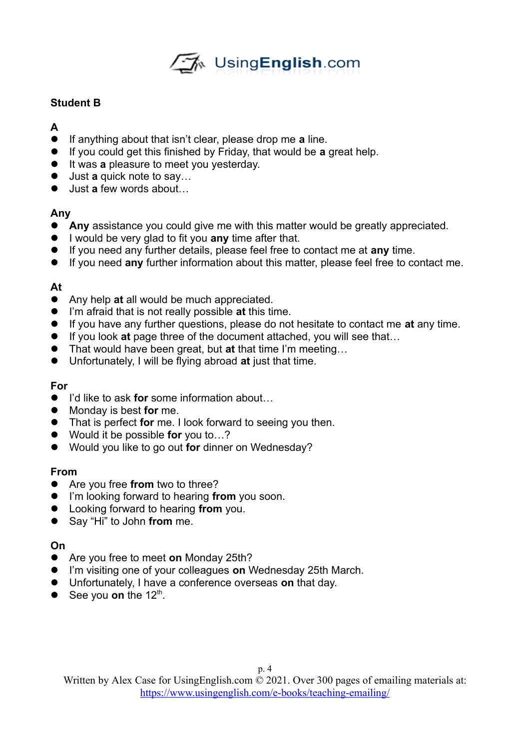

## **Student B**

- **A**
- If anything about that isn't clear, please drop me **a** line.
- If you could get this finished by Friday, that would be **a** great help.
- **•** It was **a** pleasure to meet you yesterday.
- Just **a** quick note to say...
- Just **a** few words about...

## **Any**

- **Any** assistance you could give me with this matter would be greatly appreciated.
- I would be very glad to fit you **any** time after that.
- If you need any further details, please feel free to contact me at **any** time.
- If you need **any** further information about this matter, please feel free to contact me.

## **At**

- Any help **at** all would be much appreciated.
- I'm afraid that is not really possible **at** this time.
- If you have any further questions, please do not hesitate to contact me **at** any time.
- If you look at page three of the document attached, you will see that...
- That would have been great, but **at** that time I'm meeting…
- Unfortunately, I will be flying abroad **at** just that time.

## **For**

- I'd like to ask **for** some information about...
- Monday is best **for** me.
- That is perfect **for** me. I look forward to seeing you then.
- Would it be possible **for** you to…?
- Would you like to go out **for** dinner on Wednesday?

## **From**

- Are you free **from** two to three?
- I'm looking forward to hearing **from** you soon.
- Looking forward to hearing **from** you.
- Say "Hi" to John **from** me.

## **On**

- Are you free to meet **on** Monday 25th?
- I'm visiting one of your colleagues **on** Wednesday 25th March.
- Unfortunately, I have a conference overseas **on** that day.
- $\bullet$  See you **on** the 12<sup>th</sup>.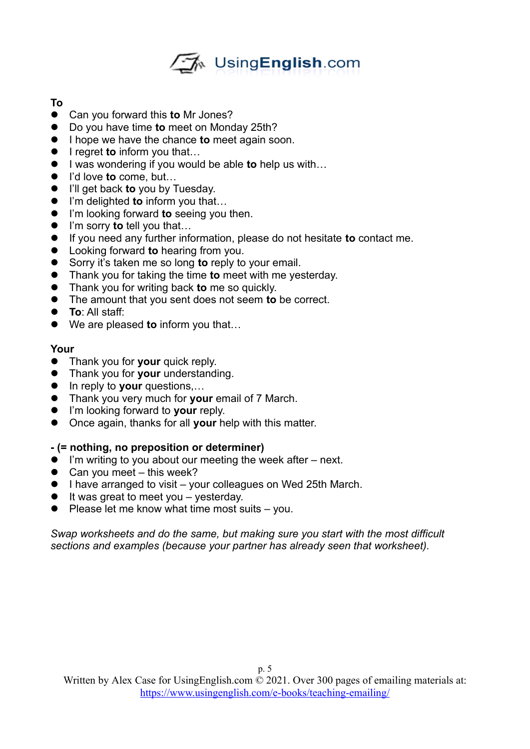

# **To**

- Can you forward this **to** Mr Jones?
- Do you have time **to** meet on Monday 25th?
- I hope we have the chance **to** meet again soon.
- **I** regret **to** inform you that...
- I was wondering if you would be able **to** help us with...
- I'd love **to** come, but...
- **I'll get back to you by Tuesday.**
- I'm delighted **to** inform you that...
- I'm looking forward **to** seeing you then.
- I'm sorry **to** tell you that...
- If you need any further information, please do not hesitate **to** contact me.
- Looking forward **to** hearing from you.
- Sorry it's taken me so long **to** reply to your email.
- Thank you for taking the time **to** meet with me yesterday.
- Thank you for writing back **to** me so quickly.
- The amount that you sent does not seem **to** be correct.
- **To**: All staff:
- We are pleased **to** inform you that…

## **Your**

- **Thank you for your quick reply.**
- Thank you for **your** understanding.
- In reply to **your** questions,...
- Thank you very much for **your** email of 7 March.
- I'm looking forward to **your** reply.
- Once again, thanks for all **your** help with this matter.

## **- (= nothing, no preposition or determiner)**

- I'm writing to you about our meeting the week after next.
- $\bullet$  Can you meet this week?
- I have arranged to visit your colleagues on Wed 25th March.
- $\bullet$  It was great to meet you yesterday.
- $\bullet$  Please let me know what time most suits you.

*Swap worksheets and do the same, but making sure you start with the most difficult sections and examples (because your partner has already seen that worksheet).*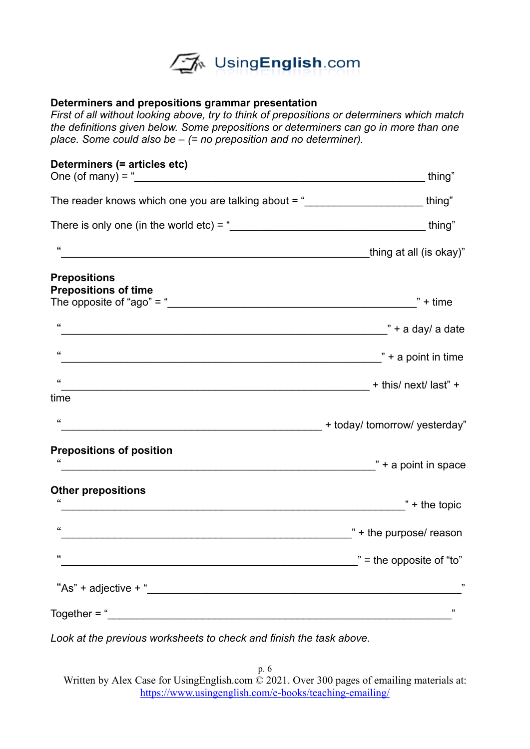

## **Determiners and prepositions grammar presentation**

*First of all without looking above, try to think of prepositions or determiners which match the definitions given below. Some prepositions or determiners can go in more than one place. Some could also be – (= no preposition and no determiner).* 

| Determiners (= articles etc)<br>One (of many) = $\frac{1}{2}$                                                                                                                                                                                 | thing"                              |
|-----------------------------------------------------------------------------------------------------------------------------------------------------------------------------------------------------------------------------------------------|-------------------------------------|
| The reader knows which one you are talking about = "                                                                                                                                                                                          | thing"                              |
| There is only one (in the world etc) = $\frac{m}{2}$ thing <sup>"</sup>                                                                                                                                                                       |                                     |
| $\,$ 66 $\,$                                                                                                                                                                                                                                  |                                     |
| <b>Prepositions</b><br><b>Prepositions of time</b><br>The opposite of "ago" = " $\sqrt{2}$ " = "                                                                                                                                              | $" + time$                          |
| $\,$ 66 $\,$<br>nd a day a date in the same state and the same state in the same state in the same state in the same state in the same state in the same state in the same state in the same state in the same state in the same state in the |                                     |
| $\,$ 66 $\,$                                                                                                                                                                                                                                  | $" + a point in time$               |
| $\boldsymbol{\zeta}\boldsymbol{\zeta}$                                                                                                                                                                                                        |                                     |
| time                                                                                                                                                                                                                                          |                                     |
| $\boldsymbol{\zeta}\boldsymbol{\zeta}$<br>intervals and the set of the set of the set of the set of the set of the set of the set of the set of the set o                                                                                     |                                     |
| <b>Prepositions of position</b>                                                                                                                                                                                                               | $\frac{1}{2}$ + a point in space    |
| <b>Other prepositions</b><br>$\boldsymbol{\zeta}\boldsymbol{\zeta}$                                                                                                                                                                           | $"$ + the topic                     |
| 66                                                                                                                                                                                                                                            | " + the purpose/ reason             |
| 66                                                                                                                                                                                                                                            | $\mathbf{r}$ = the opposite of "to" |
|                                                                                                                                                                                                                                               | ,,                                  |
| $Together = "$                                                                                                                                                                                                                                | ,,                                  |

*Look at the previous worksheets to check and finish the task above.*

p. 6 Written by Alex Case for UsingEnglish.com © 2021. Over 300 pages of emailing materials at: <https://www.usingenglish.com/e-books/teaching-emailing/>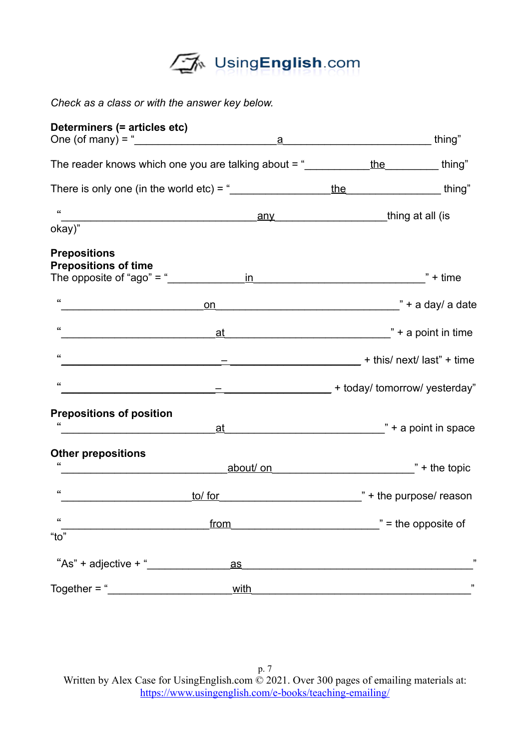

*Check as a class or with the answer key below.*

| Determiners (= articles etc)                                                    |                                                                                                                                                                                                                                |                                                       |                                     |  |
|---------------------------------------------------------------------------------|--------------------------------------------------------------------------------------------------------------------------------------------------------------------------------------------------------------------------------|-------------------------------------------------------|-------------------------------------|--|
|                                                                                 | One (of many) = $\frac{a}{a}$                                                                                                                                                                                                  |                                                       | thing"                              |  |
| The reader knows which one you are talking about = $\frac{m}{2}$ the the thing" |                                                                                                                                                                                                                                |                                                       |                                     |  |
|                                                                                 | There is only one (in the world etc) = $\frac{u}{2}$                                                                                                                                                                           | <u>the thing</u> "                                    |                                     |  |
| $\epsilon$                                                                      |                                                                                                                                                                                                                                |                                                       |                                     |  |
| okay)"                                                                          |                                                                                                                                                                                                                                |                                                       |                                     |  |
| <b>Prepositions</b><br><b>Prepositions of time</b>                              |                                                                                                                                                                                                                                |                                                       |                                     |  |
|                                                                                 | The opposite of "ago" = " $\frac{in}{\sqrt{1 + \frac{1}{i}} \cdot \frac{1}{i}}$                                                                                                                                                |                                                       | $" + time$                          |  |
| 66                                                                              |                                                                                                                                                                                                                                |                                                       |                                     |  |
| $\epsilon\epsilon$                                                              |                                                                                                                                                                                                                                |                                                       |                                     |  |
| $\epsilon\epsilon$                                                              |                                                                                                                                                                                                                                | this/next/last" + time = 1.1 + this/next/last" + time |                                     |  |
| 66                                                                              | __ _______________________ + today/ tomorrow/ yesterday"                                                                                                                                                                       |                                                       |                                     |  |
| <b>Prepositions of position</b>                                                 |                                                                                                                                                                                                                                |                                                       |                                     |  |
|                                                                                 | at the contract of the contract of the contract of the contract of the contract of the contract of the contract of the contract of the contract of the contract of the contract of the contract of the contract of the contrac |                                                       |                                     |  |
| <b>Other prepositions</b>                                                       |                                                                                                                                                                                                                                |                                                       |                                     |  |
| 66                                                                              | about on the topic that the topic that the topic                                                                                                                                                                               |                                                       |                                     |  |
| $\boldsymbol{\zeta}\boldsymbol{\zeta}$                                          | to/ for                                                                                                                                                                                                                        |                                                       | $\frac{1}{2}$ + the purpose/ reason |  |
|                                                                                 | from                                                                                                                                                                                                                           |                                                       | $\ddot{ }$ = the opposite of        |  |
| "to"                                                                            |                                                                                                                                                                                                                                |                                                       |                                     |  |
| "As" + adjective $+$ "                                                          | $\mathbf{a}\mathbf{s}$                                                                                                                                                                                                         |                                                       | ,,                                  |  |
| Together $=$ "                                                                  | with                                                                                                                                                                                                                           |                                                       | ,,                                  |  |

p. 7 Written by Alex Case for UsingEnglish.com  $\stackrel{\circ}{\odot}$  2021. Over 300 pages of emailing materials at: <https://www.usingenglish.com/e-books/teaching-emailing/>